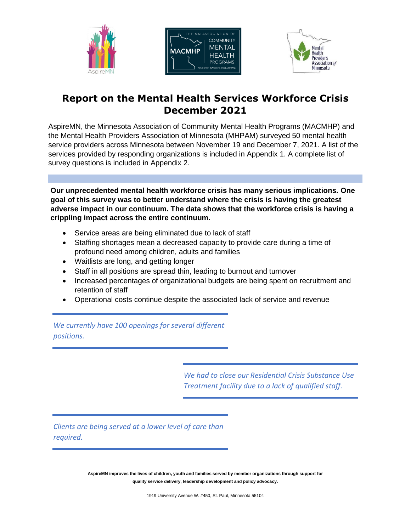





# **Report on the Mental Health Services Workforce Crisis December 2021**

AspireMN, the Minnesota Association of Community Mental Health Programs (MACMHP) and the Mental Health Providers Association of Minnesota (MHPAM) surveyed 50 mental health service providers across Minnesota between November 19 and December 7, 2021. A list of the services provided by responding organizations is included in Appendix 1. A complete list of survey questions is included in Appendix 2.

**Our unprecedented mental health workforce crisis has many serious implications. One goal of this survey was to better understand where the crisis is having the greatest adverse impact in our continuum. The data shows that the workforce crisis is having a crippling impact across the entire continuum.**

- Service areas are being eliminated due to lack of staff
- Staffing shortages mean a decreased capacity to provide care during a time of profound need among children, adults and families
- Waitlists are long, and getting longer
- Staff in all positions are spread thin, leading to burnout and turnover
- Increased percentages of organizational budgets are being spent on recruitment and retention of staff
- Operational costs continue despite the associated lack of service and revenue

*We currently have 100 openings for several different positions.* 

> *We had to close our Residential Crisis Substance Use Treatment facility due to a lack of qualified staff.*

*Clients are being served at a lower level of care than required.*

> **AspireMN improves the lives of children, youth and families served by member organizations through support for quality service delivery, leadership development and policy advocacy.**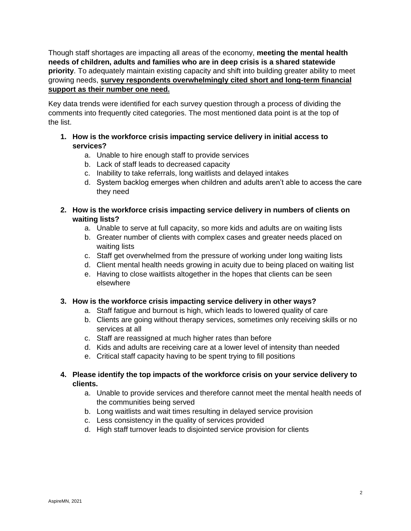Though staff shortages are impacting all areas of the economy, **meeting the mental health needs of children, adults and families who are in deep crisis is a shared statewide priority**. To adequately maintain existing capacity and shift into building greater ability to meet growing needs, **survey respondents overwhelmingly cited short and long-term financial support as their number one need.**

Key data trends were identified for each survey question through a process of dividing the comments into frequently cited categories. The most mentioned data point is at the top of the list.

- **1. How is the workforce crisis impacting service delivery in initial access to services?**
	- a. Unable to hire enough staff to provide services
	- b. Lack of staff leads to decreased capacity
	- c. Inability to take referrals, long waitlists and delayed intakes
	- d. System backlog emerges when children and adults aren't able to access the care they need
- **2. How is the workforce crisis impacting service delivery in numbers of clients on waiting lists?**
	- a. Unable to serve at full capacity, so more kids and adults are on waiting lists
	- b. Greater number of clients with complex cases and greater needs placed on waiting lists
	- c. Staff get overwhelmed from the pressure of working under long waiting lists
	- d. Client mental health needs growing in acuity due to being placed on waiting list
	- e. Having to close waitlists altogether in the hopes that clients can be seen elsewhere

## **3. How is the workforce crisis impacting service delivery in other ways?**

- a. Staff fatigue and burnout is high, which leads to lowered quality of care
- b. Clients are going without therapy services, sometimes only receiving skills or no services at all
- c. Staff are reassigned at much higher rates than before
- d. Kids and adults are receiving care at a lower level of intensity than needed
- e. Critical staff capacity having to be spent trying to fill positions

## **4. Please identify the top impacts of the workforce crisis on your service delivery to clients.**

- a. Unable to provide services and therefore cannot meet the mental health needs of the communities being served
- b. Long waitlists and wait times resulting in delayed service provision
- c. Less consistency in the quality of services provided
- d. High staff turnover leads to disjointed service provision for clients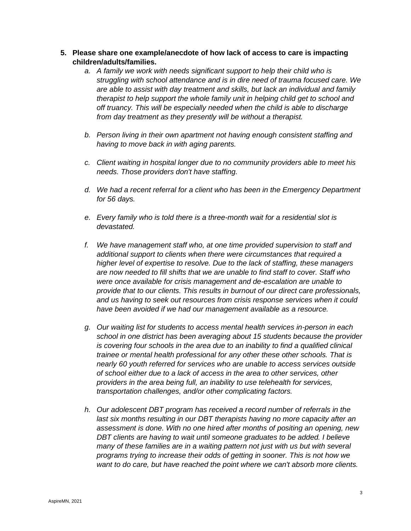- **5. Please share one example/anecdote of how lack of access to care is impacting children/adults/families.**
	- *a. A family we work with needs significant support to help their child who is struggling with school attendance and is in dire need of trauma focused care. We are able to assist with day treatment and skills, but lack an individual and family therapist to help support the whole family unit in helping child get to school and off truancy. This will be especially needed when the child is able to discharge from day treatment as they presently will be without a therapist.*
	- *b. Person living in their own apartment not having enough consistent staffing and having to move back in with aging parents.*
	- *c. Client waiting in hospital longer due to no community providers able to meet his needs. Those providers don't have staffing.*
	- *d. We had a recent referral for a client who has been in the Emergency Department for 56 days.*
	- *e. Every family who is told there is a three-month wait for a residential slot is devastated.*
	- *f. We have management staff who, at one time provided supervision to staff and additional support to clients when there were circumstances that required a higher level of expertise to resolve. Due to the lack of staffing, these managers are now needed to fill shifts that we are unable to find staff to cover. Staff who were once available for crisis management and de-escalation are unable to provide that to our clients. This results in burnout of our direct care professionals, and us having to seek out resources from crisis response services when it could have been avoided if we had our management available as a resource.*
	- *g. Our waiting list for students to access mental health services in-person in each school in one district has been averaging about 15 students because the provider is covering four schools in the area due to an inability to find a qualified clinical trainee or mental health professional for any other these other schools. That is nearly 60 youth referred for services who are unable to access services outside of school either due to a lack of access in the area to other services, other providers in the area being full, an inability to use telehealth for services, transportation challenges, and/or other complicating factors.*
	- *h. Our adolescent DBT program has received a record number of referrals in the*  last six months resulting in our DBT therapists having no more capacity after an *assessment is done. With no one hired after months of positing an opening, new DBT clients are having to wait until someone graduates to be added. I believe many of these families are in a waiting pattern not just with us but with several programs trying to increase their odds of getting in sooner. This is not how we want to do care, but have reached the point where we can't absorb more clients.*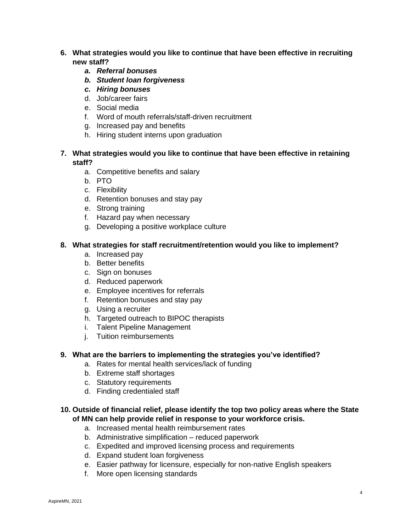- **6. What strategies would you like to continue that have been effective in recruiting new staff?**
	- *a. Referral bonuses*
	- *b. Student loan forgiveness*
	- *c. Hiring bonuses*
	- d. Job/career fairs
	- e. Social media
	- f. Word of mouth referrals/staff-driven recruitment
	- g. Increased pay and benefits
	- h. Hiring student interns upon graduation

## **7. What strategies would you like to continue that have been effective in retaining staff?**

- a. Competitive benefits and salary
- b. PTO
- c. Flexibility
- d. Retention bonuses and stay pay
- e. Strong training
- f. Hazard pay when necessary
- g. Developing a positive workplace culture

#### **8. What strategies for staff recruitment/retention would you like to implement?**

- a. Increased pay
- b. Better benefits
- c. Sign on bonuses
- d. Reduced paperwork
- e. Employee incentives for referrals
- f. Retention bonuses and stay pay
- g. Using a recruiter
- h. Targeted outreach to BIPOC therapists
- i. Talent Pipeline Management
- j. Tuition reimbursements

#### **9. What are the barriers to implementing the strategies you've identified?**

- a. Rates for mental health services/lack of funding
- b. Extreme staff shortages
- c. Statutory requirements
- d. Finding credentialed staff

#### **10. Outside of financial relief, please identify the top two policy areas where the State of MN can help provide relief in response to your workforce crisis.**

- a. Increased mental health reimbursement rates
- b. Administrative simplification reduced paperwork
- c. Expedited and improved licensing process and requirements
- d. Expand student loan forgiveness
- e. Easier pathway for licensure, especially for non-native English speakers
- f. More open licensing standards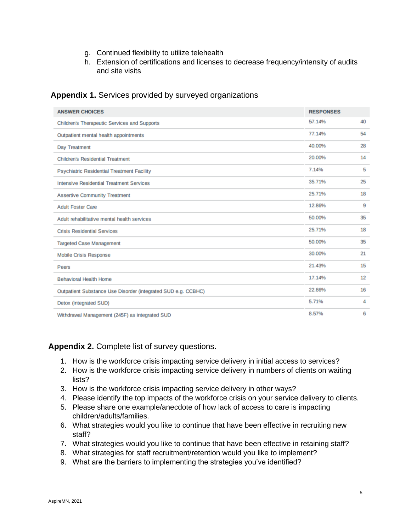- g. Continued flexibility to utilize telehealth
- h. Extension of certifications and licenses to decrease frequency/intensity of audits and site visits

| <b>ANSWER CHOICES</b>                                         | <b>RESPONSES</b> |    |
|---------------------------------------------------------------|------------------|----|
| <b>Children's Therapeutic Services and Supports</b>           | 57.14%           | 40 |
| Outpatient mental health appointments                         | 77.14%           | 54 |
| Day Treatment                                                 | 40.00%           | 28 |
| <b>Children's Residential Treatment</b>                       | 20.00%           | 14 |
| <b>Psychiatric Residential Treatment Facility</b>             | 7.14%            | 5  |
| <b>Intensive Residential Treatment Services</b>               | 35.71%           | 25 |
| <b>Assertive Community Treatment</b>                          | 25.71%           | 18 |
| <b>Adult Foster Care</b>                                      | 12.86%           | 9  |
| Adult rehabilitative mental health services                   | 50.00%           | 35 |
| <b>Crisis Residential Services</b>                            | 25.71%           | 18 |
| <b>Targeted Case Management</b>                               | 50.00%           | 35 |
| <b>Mobile Crisis Response</b>                                 | 30.00%           | 21 |
| <b>Peers</b>                                                  | 21.43%           | 15 |
| <b>Behavioral Health Home</b>                                 | 17.14%           | 12 |
| Outpatient Substance Use Disorder (integrated SUD e.g. CCBHC) | 22.86%           | 16 |
| Detox (integrated SUD)                                        | 5.71%            | 4  |
| Withdrawal Management (245F) as integrated SUD                | 8.57%            | 6  |

# **Appendix 1.** Services provided by surveyed organizations

**Appendix 2.** Complete list of survey questions.

- 1. How is the workforce crisis impacting service delivery in initial access to services?
- 2. How is the workforce crisis impacting service delivery in numbers of clients on waiting lists?
- 3. How is the workforce crisis impacting service delivery in other ways?
- 4. Please identify the top impacts of the workforce crisis on your service delivery to clients.
- 5. Please share one example/anecdote of how lack of access to care is impacting children/adults/families.
- 6. What strategies would you like to continue that have been effective in recruiting new staff?
- 7. What strategies would you like to continue that have been effective in retaining staff?
- 8. What strategies for staff recruitment/retention would you like to implement?
- 9. What are the barriers to implementing the strategies you've identified?